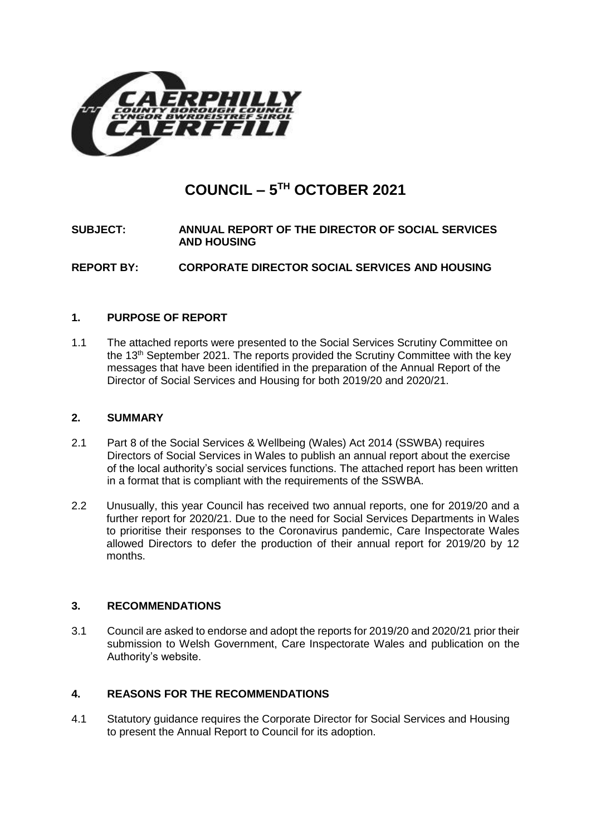

# **COUNCIL – 5 TH OCTOBER 2021**

# **SUBJECT: ANNUAL REPORT OF THE DIRECTOR OF SOCIAL SERVICES AND HOUSING**

**REPORT BY: CORPORATE DIRECTOR SOCIAL SERVICES AND HOUSING**

## **1. PURPOSE OF REPORT**

1.1 The attached reports were presented to the Social Services Scrutiny Committee on the 13<sup>th</sup> September 2021. The reports provided the Scrutiny Committee with the key messages that have been identified in the preparation of the Annual Report of the Director of Social Services and Housing for both 2019/20 and 2020/21.

## **2. SUMMARY**

- 2.1 Part 8 of the Social Services & Wellbeing (Wales) Act 2014 (SSWBA) requires Directors of Social Services in Wales to publish an annual report about the exercise of the local authority's social services functions. The attached report has been written in a format that is compliant with the requirements of the SSWBA.
- 2.2 Unusually, this year Council has received two annual reports, one for 2019/20 and a further report for 2020/21. Due to the need for Social Services Departments in Wales to prioritise their responses to the Coronavirus pandemic, Care Inspectorate Wales allowed Directors to defer the production of their annual report for 2019/20 by 12 months.

# **3. RECOMMENDATIONS**

3.1 Council are asked to endorse and adopt the reports for 2019/20 and 2020/21 prior their submission to Welsh Government, Care Inspectorate Wales and publication on the Authority's website.

# **4. REASONS FOR THE RECOMMENDATIONS**

4.1 Statutory guidance requires the Corporate Director for Social Services and Housing to present the Annual Report to Council for its adoption.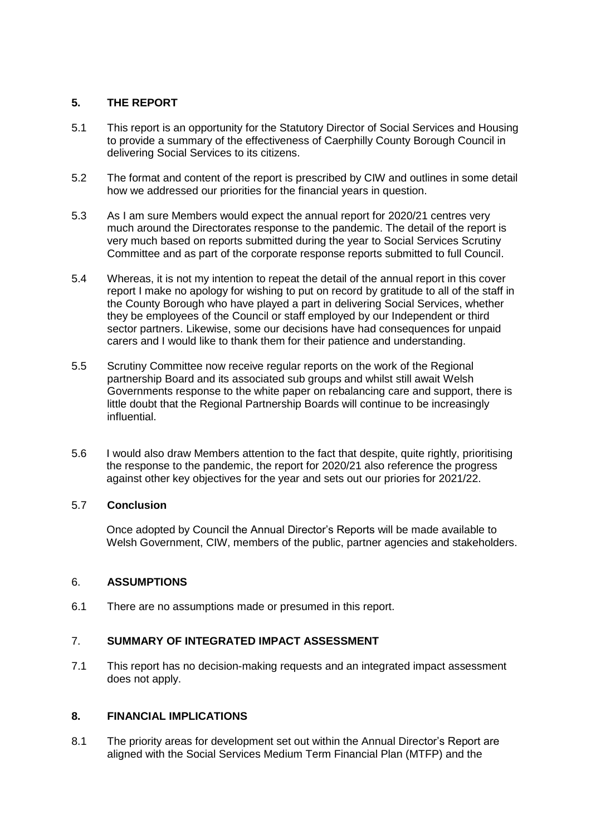## **5. THE REPORT**

- 5.1 This report is an opportunity for the Statutory Director of Social Services and Housing to provide a summary of the effectiveness of Caerphilly County Borough Council in delivering Social Services to its citizens.
- 5.2 The format and content of the report is prescribed by CIW and outlines in some detail how we addressed our priorities for the financial years in question.
- 5.3 As I am sure Members would expect the annual report for 2020/21 centres very much around the Directorates response to the pandemic. The detail of the report is very much based on reports submitted during the year to Social Services Scrutiny Committee and as part of the corporate response reports submitted to full Council.
- 5.4 Whereas, it is not my intention to repeat the detail of the annual report in this cover report I make no apology for wishing to put on record by gratitude to all of the staff in the County Borough who have played a part in delivering Social Services, whether they be employees of the Council or staff employed by our Independent or third sector partners. Likewise, some our decisions have had consequences for unpaid carers and I would like to thank them for their patience and understanding.
- 5.5 Scrutiny Committee now receive regular reports on the work of the Regional partnership Board and its associated sub groups and whilst still await Welsh Governments response to the white paper on rebalancing care and support, there is little doubt that the Regional Partnership Boards will continue to be increasingly influential.
- 5.6 I would also draw Members attention to the fact that despite, quite rightly, prioritising the response to the pandemic, the report for 2020/21 also reference the progress against other key objectives for the year and sets out our priories for 2021/22.

#### 5.7 **Conclusion**

Once adopted by Council the Annual Director's Reports will be made available to Welsh Government, CIW, members of the public, partner agencies and stakeholders.

#### 6. **ASSUMPTIONS**

6.1 There are no assumptions made or presumed in this report.

#### 7. **SUMMARY OF INTEGRATED IMPACT ASSESSMENT**

7.1 This report has no decision-making requests and an integrated impact assessment does not apply.

#### **8. FINANCIAL IMPLICATIONS**

8.1 The priority areas for development set out within the Annual Director's Report are aligned with the Social Services Medium Term Financial Plan (MTFP) and the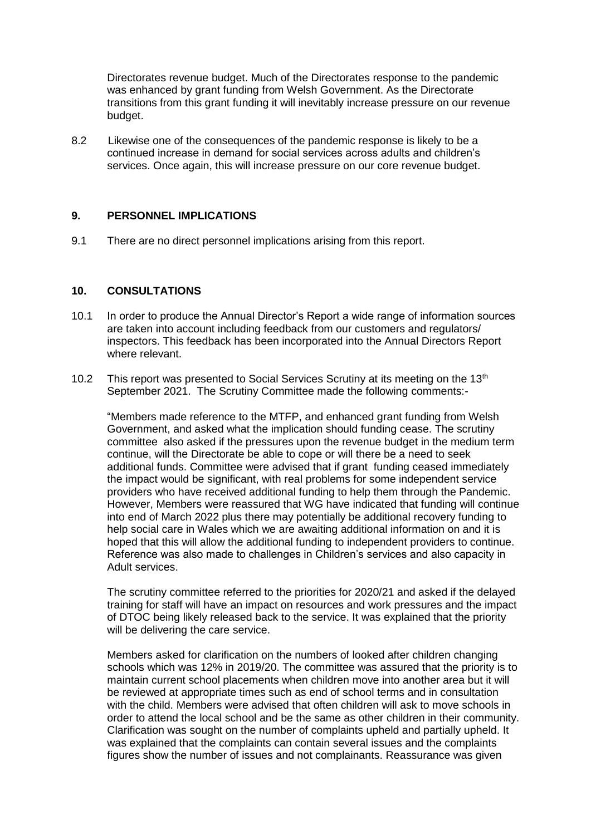Directorates revenue budget. Much of the Directorates response to the pandemic was enhanced by grant funding from Welsh Government. As the Directorate transitions from this grant funding it will inevitably increase pressure on our revenue budget.

8.2 Likewise one of the consequences of the pandemic response is likely to be a continued increase in demand for social services across adults and children's services. Once again, this will increase pressure on our core revenue budget.

#### **9. PERSONNEL IMPLICATIONS**

9.1 There are no direct personnel implications arising from this report.

#### **10. CONSULTATIONS**

- 10.1 In order to produce the Annual Director's Report a wide range of information sources are taken into account including feedback from our customers and regulators/ inspectors. This feedback has been incorporated into the Annual Directors Report where relevant.
- 10.2 This report was presented to Social Services Scrutiny at its meeting on the  $13<sup>th</sup>$ September 2021. The Scrutiny Committee made the following comments:-

"Members made reference to the MTFP, and enhanced grant funding from Welsh Government, and asked what the implication should funding cease. The scrutiny committee also asked if the pressures upon the revenue budget in the medium term continue, will the Directorate be able to cope or will there be a need to seek additional funds. Committee were advised that if grant funding ceased immediately the impact would be significant, with real problems for some independent service providers who have received additional funding to help them through the Pandemic. However, Members were reassured that WG have indicated that funding will continue into end of March 2022 plus there may potentially be additional recovery funding to help social care in Wales which we are awaiting additional information on and it is hoped that this will allow the additional funding to independent providers to continue. Reference was also made to challenges in Children's services and also capacity in Adult services.

The scrutiny committee referred to the priorities for 2020/21 and asked if the delayed training for staff will have an impact on resources and work pressures and the impact of DTOC being likely released back to the service. It was explained that the priority will be delivering the care service.

Members asked for clarification on the numbers of looked after children changing schools which was 12% in 2019/20. The committee was assured that the priority is to maintain current school placements when children move into another area but it will be reviewed at appropriate times such as end of school terms and in consultation with the child. Members were advised that often children will ask to move schools in order to attend the local school and be the same as other children in their community. Clarification was sought on the number of complaints upheld and partially upheld. It was explained that the complaints can contain several issues and the complaints figures show the number of issues and not complainants. Reassurance was given